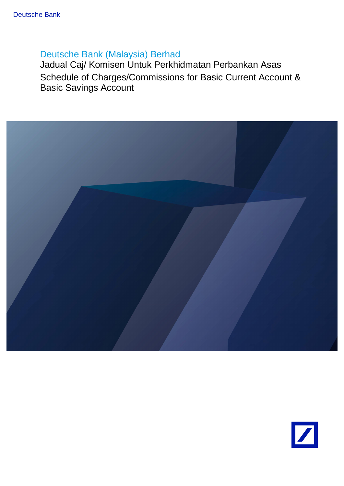# Deutsche Bank (Malaysia) Berhad

Jadual Caj/ Komisen Untuk Perkhidmatan Perbankan Asas Schedule of Charges/Commissions for Basic Current Account & Basic Savings Account



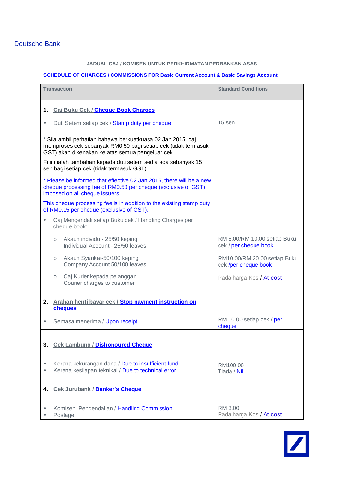## Deutsche Bank

#### **JADUAL CAJ / KOMISEN UNTUK PERKHIDMATAN PERBANKAN ASAS**

#### **SCHEDULE OF CHARGES / COMMISSIONS FOR Basic Current Account & Basic Savings Account**

| <b>Transaction</b>                                                                                                                                                               | <b>Standard Conditions</b>                            |
|----------------------------------------------------------------------------------------------------------------------------------------------------------------------------------|-------------------------------------------------------|
| 1. Caj Buku Cek / Cheque Book Charges                                                                                                                                            |                                                       |
| Duti Setem setiap cek / Stamp duty per cheque<br>ä,                                                                                                                              | 15 sen                                                |
| * Sila ambil perhatian bahawa berkuatkuasa 02 Jan 2015, caj<br>memproses cek sebanyak RM0.50 bagi setiap cek (tidak termasuk<br>GST) akan dikenakan ke atas semua pengeluar cek. |                                                       |
| Fi ini ialah tambahan kepada duti setem sedia ada sebanyak 15<br>sen bagi setiap cek (tidak termasuk GST).                                                                       |                                                       |
| * Please be informed that effective 02 Jan 2015, there will be a new<br>cheque processing fee of RM0.50 per cheque (exclusive of GST)<br>imposed on all cheque issuers.          |                                                       |
| This cheque processing fee is in addition to the existing stamp duty<br>of RM0.15 per cheque (exclusive of GST).                                                                 |                                                       |
| Caj Mengendali setiap Buku cek / Handling Charges per<br>cheque book:                                                                                                            |                                                       |
| Akaun individu - 25/50 keping<br>$\circ$<br>Individual Account - 25/50 leaves                                                                                                    | RM 5.00/RM 10.00 setiap Buku<br>cek / per cheque book |
| Akaun Syarikat-50/100 keping<br>$\circlearrowright$<br>Company Account 50/100 leaves                                                                                             | RM10.00/RM 20.00 setiap Buku<br>cek /per cheque book  |
| Caj Kurier kepada pelanggan<br>$\circ$<br>Courier charges to customer                                                                                                            | Pada harga Kos / At cost                              |
| Arahan henti bayar cek / Stop payment instruction on<br>2.<br>cheques                                                                                                            |                                                       |
| Semasa menerima / Upon receipt                                                                                                                                                   | RM 10.00 setiap cek / per<br>cheque                   |
| 3.<br><b>Cek Lambung / Dishonoured Cheque</b>                                                                                                                                    |                                                       |
| Kerana kekurangan dana / Due to insufficient fund<br>Kerana kesilapan teknikal / Due to technical error                                                                          | RM100.00<br>Tiada / Nil                               |
| <b>Cek Jurubank / Banker's Cheque</b><br>4.                                                                                                                                      |                                                       |
| Komisen Pengendalian / Handling Commission<br>Postage                                                                                                                            | RM 3.00<br>Pada harga Kos / At cost                   |

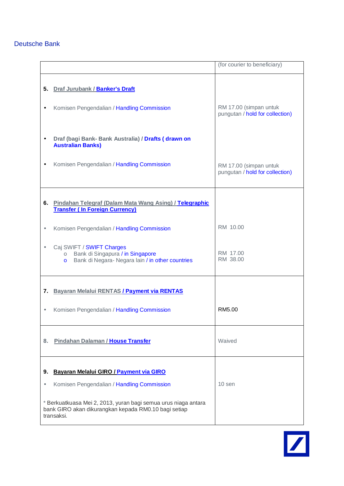## Deutsche Bank

|         |                                                                                                                                                         | (for courier to beneficiary)                              |
|---------|---------------------------------------------------------------------------------------------------------------------------------------------------------|-----------------------------------------------------------|
| 5.      | Draf Jurubank / Banker's Draft<br>Komisen Pengendalian / Handling Commission                                                                            | RM 17.00 (simpan untuk<br>pungutan / hold for collection) |
|         | Draf (bagi Bank- Bank Australia) / Drafts (drawn on<br><b>Australian Banks)</b>                                                                         |                                                           |
|         | Komisen Pengendalian / Handling Commission                                                                                                              | RM 17.00 (simpan untuk<br>pungutan / hold for collection) |
|         | 6. Pindahan Telegraf (Dalam Mata Wang Asing) / Telegraphic<br><b>Transfer (In Foreign Currency)</b>                                                     |                                                           |
|         | Komisen Pengendalian / Handling Commission                                                                                                              | RM 10.00                                                  |
|         | Caj SWIFT / SWIFT Charges<br>Bank di Singapura / in Singapore<br>$\circ$<br>Bank di Negara-Negara lain / in other countries<br>$\circ$                  | RM 17.00<br>RM 38.00                                      |
| 7.      | Bayaran Melalui RENTAS / Payment via RENTAS                                                                                                             |                                                           |
|         | Komisen Pengendalian / Handling Commission                                                                                                              | RM5.00                                                    |
| 8.      | Pindahan Dalaman / House Transfer                                                                                                                       | Waived                                                    |
| 9.<br>× | Bayaran Melalui GIRO / Payment via GIRO<br>Komisen Pengendalian / Handling Commission<br>* Berkuatkuasa Mei 2, 2013, yuran bagi semua urus niaga antara | 10 sen                                                    |
|         | bank GIRO akan dikurangkan kepada RM0.10 bagi setiap<br>transaksi.                                                                                      |                                                           |